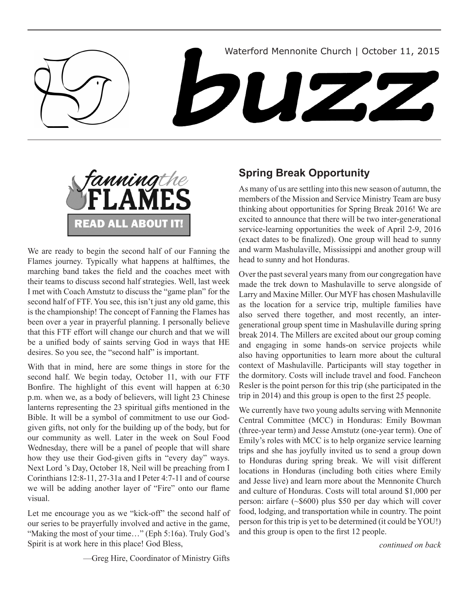



We are ready to begin the second half of our Fanning the Flames journey. Typically what happens at halftimes, the marching band takes the field and the coaches meet with their teams to discuss second half strategies. Well, last week I met with Coach Amstutz to discuss the "game plan" for the second half of FTF. You see, this isn't just any old game, this is the championship! The concept of Fanning the Flames has been over a year in prayerful planning. I personally believe that this FTF effort will change our church and that we will be a unified body of saints serving God in ways that HE desires. So you see, the "second half" is important.

With that in mind, here are some things in store for the second half. We begin today, October 11, with our FTF Bonfire. The highlight of this event will happen at 6:30 p.m. when we, as a body of believers, will light 23 Chinese lanterns representing the 23 spiritual gifts mentioned in the Bible. It will be a symbol of commitment to use our Godgiven gifts, not only for the building up of the body, but for our community as well. Later in the week on Soul Food Wednesday, there will be a panel of people that will share how they use their God-given gifts in "every day" ways. Next Lord 's Day, October 18, Neil will be preaching from I Corinthians 12:8-11, 27-31a and I Peter 4:7-11 and of course we will be adding another layer of "Fire" onto our flame visual.

Let me encourage you as we "kick-off" the second half of our series to be prayerfully involved and active in the game, "Making the most of your time…" (Eph 5:16a). Truly God's Spirit is at work here in this place! God Bless,

—Greg Hire, Coordinator of Ministry Gifts

# **Spring Break Opportunity**

As many of us are settling into this new season of autumn, the members of the Mission and Service Ministry Team are busy thinking about opportunities for Spring Break 2016! We are excited to announce that there will be two inter-generational service-learning opportunities the week of April 2-9, 2016 (exact dates to be finalized). One group will head to sunny and warm Mashulaville, Mississippi and another group will head to sunny and hot Honduras.

Over the past several years many from our congregation have made the trek down to Mashulaville to serve alongside of Larry and Maxine Miller. Our MYF has chosen Mashulaville as the location for a service trip, multiple families have also served there together, and most recently, an intergenerational group spent time in Mashulaville during spring break 2014. The Millers are excited about our group coming and engaging in some hands-on service projects while also having opportunities to learn more about the cultural context of Mashulaville. Participants will stay together in the dormitory. Costs will include travel and food. Fancheon Resler is the point person for this trip (she participated in the trip in 2014) and this group is open to the first 25 people.

We currently have two young adults serving with Mennonite Central Committee (MCC) in Honduras: Emily Bowman (three-year term) and Jesse Amstutz (one-year term). One of Emily's roles with MCC is to help organize service learning trips and she has joyfully invited us to send a group down to Honduras during spring break. We will visit different locations in Honduras (including both cities where Emily and Jesse live) and learn more about the Mennonite Church and culture of Honduras. Costs will total around \$1,000 per person: airfare (~\$600) plus \$50 per day which will cover food, lodging, and transportation while in country. The point person for this trip is yet to be determined (it could be YOU!) and this group is open to the first 12 people.

*continued on back*